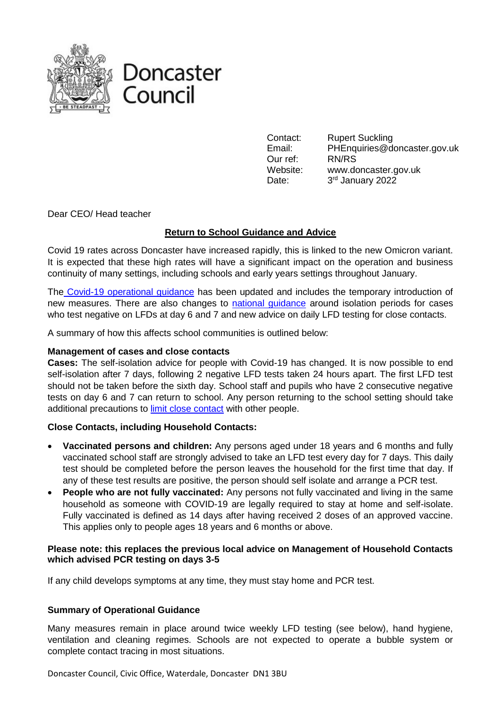



Contact: Rupert Suckling Email: PHEnquiries@doncaster.gov.uk Our ref: RN/RS Website: www.doncaster.gov.uk Date: 3rd January 2022

Dear CEO/ Head teacher

# **Return to School Guidance and Advice**

Covid 19 rates across Doncaster have increased rapidly, this is linked to the new Omicron variant. It is expected that these high rates will have a significant impact on the operation and business continuity of many settings, including schools and early years settings throughout January.

The [Covid-19 operational guidance](https://assets.publishing.service.gov.uk/government/uploads/system/uploads/attachment_data/file/1044530/Schools_guidance_Jan_22.pdf) has been updated and includes the temporary introduction of new measures. There are also changes to [national guidance](https://www.gov.uk/government/publications/covid-19-stay-at-home-guidance/stay-at-home-guidance-for-households-with-possible-coronavirus-covid-19-infection) around isolation periods for cases who test negative on LFDs at day 6 and 7 and new advice on daily LFD testing for close contacts.

A summary of how this affects school communities is outlined below:

#### **Management of cases and close contacts**

**Cases:** The self-isolation advice for people with Covid-19 has changed. It is now possible to end self-isolation after 7 days, following 2 negative LFD tests taken 24 hours apart. The first LFD test should not be taken before the sixth day. School staff and pupils who have 2 consecutive negative tests on day 6 and 7 can return to school. Any person returning to the school setting should take additional precautions to [limit close contact](https://www.gov.uk/government/publications/covid-19-stay-at-home-guidance/stay-at-home-guidance-for-households-with-possible-coronavirus-covid-19-infection) with other people.

## **Close Contacts, including Household Contacts:**

- **Vaccinated persons and children:** Any persons aged under 18 years and 6 months and fully vaccinated school staff are strongly advised to take an LFD test every day for 7 days. This daily test should be completed before the person leaves the household for the first time that day. If any of these test results are positive, the person should self isolate and arrange a PCR test.
- **People who are not fully vaccinated:** Any persons not fully vaccinated and living in the same household as someone with COVID-19 are legally required to stay at home and self-isolate. Fully vaccinated is defined as 14 days after having received 2 doses of an approved vaccine. This applies only to people ages 18 years and 6 months or above.

## **Please note: this replaces the previous local advice on Management of Household Contacts which advised PCR testing on days 3-5**

If any child develops symptoms at any time, they must stay home and PCR test.

## **Summary of Operational Guidance**

Many measures remain in place around twice weekly LFD testing (see below), hand hygiene, ventilation and cleaning regimes. Schools are not expected to operate a bubble system or complete contact tracing in most situations.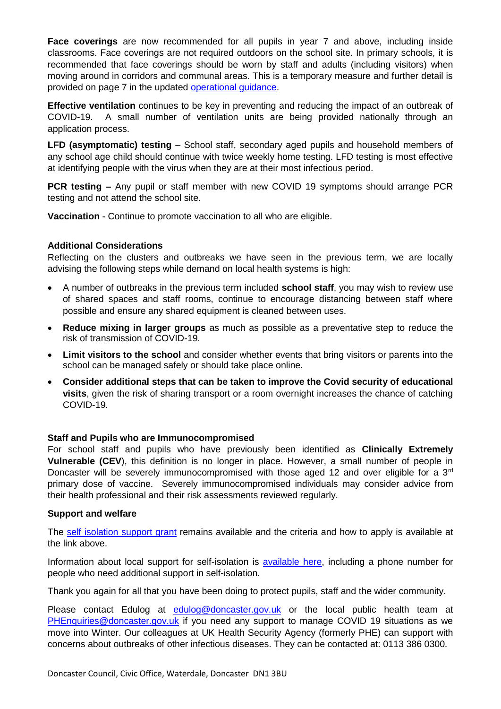**Face coverings** are now recommended for all pupils in year 7 and above, including inside classrooms. Face coverings are not required outdoors on the school site. In primary schools, it is recommended that face coverings should be worn by staff and adults (including visitors) when moving around in corridors and communal areas. This is a temporary measure and further detail is provided on page 7 in the updated [operational guidance.](https://assets.publishing.service.gov.uk/government/uploads/system/uploads/attachment_data/file/1044530/Schools_guidance_Jan_22.pdf)

**Effective ventilation** continues to be key in preventing and reducing the impact of an outbreak of COVID-19. A small number of ventilation units are being provided nationally through an application process.

**LFD (asymptomatic) testing** – School staff, secondary aged pupils and household members of any school age child should continue with twice weekly home testing. LFD testing is most effective at identifying people with the virus when they are at their most infectious period.

**PCR testing –** Any pupil or staff member with new COVID 19 symptoms should arrange PCR testing and not attend the school site.

**Vaccination** - Continue to promote vaccination to all who are eligible.

## **Additional Considerations**

Reflecting on the clusters and outbreaks we have seen in the previous term, we are locally advising the following steps while demand on local health systems is high:

- A number of outbreaks in the previous term included **school staff**, you may wish to review use of shared spaces and staff rooms, continue to encourage distancing between staff where possible and ensure any shared equipment is cleaned between uses.
- **Reduce mixing in larger groups** as much as possible as a preventative step to reduce the risk of transmission of COVID-19.
- **Limit visitors to the school** and consider whether events that bring visitors or parents into the school can be managed safely or should take place online.
- **Consider additional steps that can be taken to improve the Covid security of educational visits**, given the risk of sharing transport or a room overnight increases the chance of catching COVID-19.

## **Staff and Pupils who are Immunocompromised**

For school staff and pupils who have previously been identified as **Clinically Extremely Vulnerable (CEV**), this definition is no longer in place. However, a small number of people in Doncaster will be severely immunocompromised with those aged 12 and over eligible for a 3<sup>rd</sup> primary dose of vaccine. Severely immunocompromised individuals may consider advice from their health professional and their risk assessments reviewed regularly.

#### **Support and welfare**

The [self isolation support grant](https://www.doncaster.gov.uk/doitonline/apply-for-a-self-isolation-support-payment) remains available and the criteria and how to apply is available at the link above.

Information about local support for self-isolation is [available here,](https://www.doncaster.gov.uk/services/health-wellbeing/coronavirus-self-isolation) including a phone number for people who need additional support in self-isolation.

Thank you again for all that you have been doing to protect pupils, staff and the wider community.

Please contact Edulog at [edulog@doncaster.gov.uk](mailto:edulog@doncaster.gov.uk) or the local public health team at [PHEnquiries@doncaster.gov.uk](mailto:PHEnquiries@doncaster.gov.uk) if you need any support to manage COVID 19 situations as we move into Winter. Our colleagues at UK Health Security Agency (formerly PHE) can support with concerns about outbreaks of other infectious diseases. They can be contacted at: 0113 386 0300.